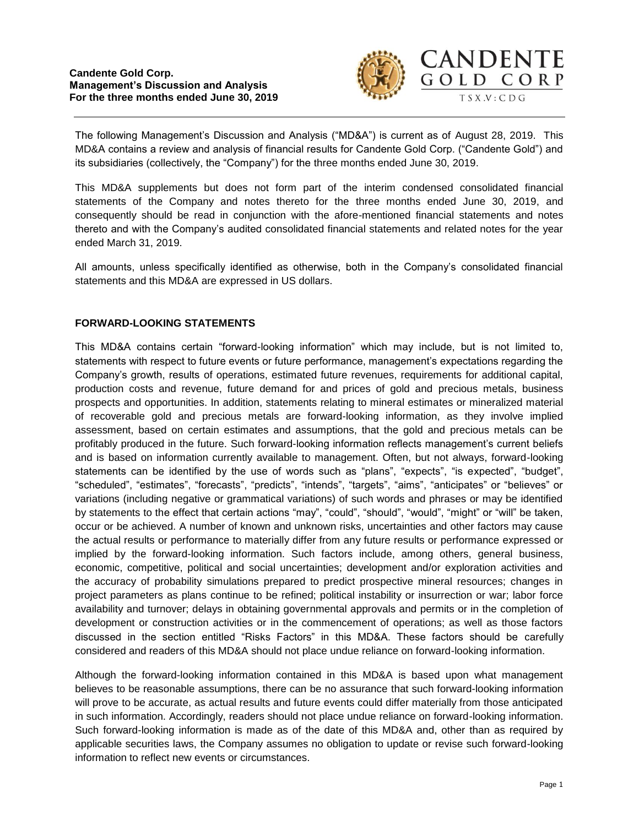

The following Management's Discussion and Analysis ("MD&A") is current as of August 28, 2019. This MD&A contains a review and analysis of financial results for Candente Gold Corp. ("Candente Gold") and its subsidiaries (collectively, the "Company") for the three months ended June 30, 2019.

This MD&A supplements but does not form part of the interim condensed consolidated financial statements of the Company and notes thereto for the three months ended June 30, 2019, and consequently should be read in conjunction with the afore-mentioned financial statements and notes thereto and with the Company's audited consolidated financial statements and related notes for the year ended March 31, 2019.

All amounts, unless specifically identified as otherwise, both in the Company's consolidated financial statements and this MD&A are expressed in US dollars.

# **FORWARD-LOOKING STATEMENTS**

This MD&A contains certain "forward-looking information" which may include, but is not limited to, statements with respect to future events or future performance, management's expectations regarding the Company's growth, results of operations, estimated future revenues, requirements for additional capital, production costs and revenue, future demand for and prices of gold and precious metals, business prospects and opportunities. In addition, statements relating to mineral estimates or mineralized material of recoverable gold and precious metals are forward-looking information, as they involve implied assessment, based on certain estimates and assumptions, that the gold and precious metals can be profitably produced in the future. Such forward-looking information reflects management's current beliefs and is based on information currently available to management. Often, but not always, forward-looking statements can be identified by the use of words such as "plans", "expects", "is expected", "budget", "scheduled", "estimates", "forecasts", "predicts", "intends", "targets", "aims", "anticipates" or "believes" or variations (including negative or grammatical variations) of such words and phrases or may be identified by statements to the effect that certain actions "may", "could", "should", "would", "might" or "will" be taken, occur or be achieved. A number of known and unknown risks, uncertainties and other factors may cause the actual results or performance to materially differ from any future results or performance expressed or implied by the forward-looking information. Such factors include, among others, general business, economic, competitive, political and social uncertainties; development and/or exploration activities and the accuracy of probability simulations prepared to predict prospective mineral resources; changes in project parameters as plans continue to be refined; political instability or insurrection or war; labor force availability and turnover; delays in obtaining governmental approvals and permits or in the completion of development or construction activities or in the commencement of operations; as well as those factors discussed in the section entitled "Risks Factors" in this MD&A. These factors should be carefully considered and readers of this MD&A should not place undue reliance on forward-looking information.

Although the forward-looking information contained in this MD&A is based upon what management believes to be reasonable assumptions, there can be no assurance that such forward-looking information will prove to be accurate, as actual results and future events could differ materially from those anticipated in such information. Accordingly, readers should not place undue reliance on forward-looking information. Such forward-looking information is made as of the date of this MD&A and, other than as required by applicable securities laws, the Company assumes no obligation to update or revise such forward-looking information to reflect new events or circumstances.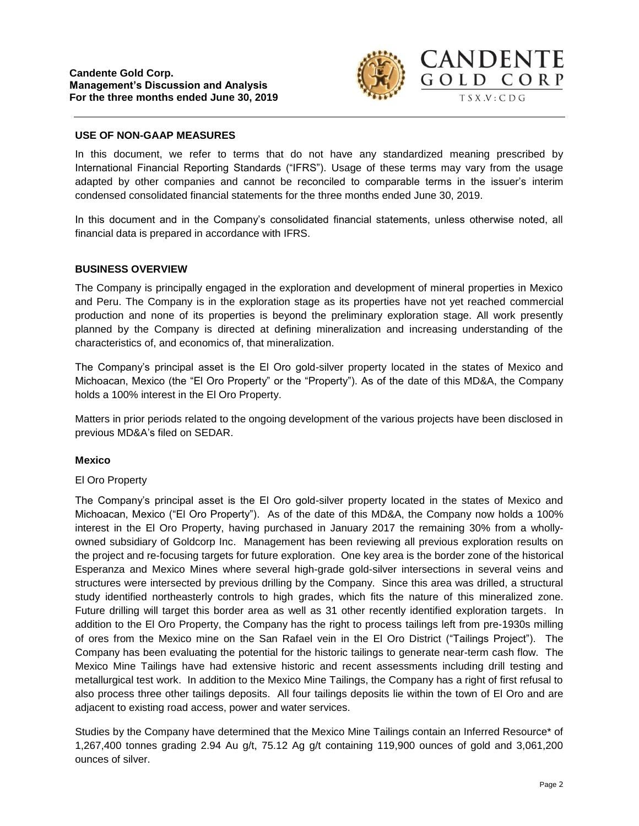

#### **USE OF NON-GAAP MEASURES**

In this document, we refer to terms that do not have any standardized meaning prescribed by International Financial Reporting Standards ("IFRS"). Usage of these terms may vary from the usage adapted by other companies and cannot be reconciled to comparable terms in the issuer's interim condensed consolidated financial statements for the three months ended June 30, 2019.

In this document and in the Company's consolidated financial statements, unless otherwise noted, all financial data is prepared in accordance with IFRS.

#### **BUSINESS OVERVIEW**

The Company is principally engaged in the exploration and development of mineral properties in Mexico and Peru. The Company is in the exploration stage as its properties have not yet reached commercial production and none of its properties is beyond the preliminary exploration stage. All work presently planned by the Company is directed at defining mineralization and increasing understanding of the characteristics of, and economics of, that mineralization.

The Company's principal asset is the El Oro gold-silver property located in the states of Mexico and Michoacan, Mexico (the "El Oro Property" or the "Property"). As of the date of this MD&A, the Company holds a 100% interest in the El Oro Property.

Matters in prior periods related to the ongoing development of the various projects have been disclosed in previous MD&A's filed on SEDAR.

#### **Mexico**

#### El Oro Property

The Company's principal asset is the El Oro gold-silver property located in the states of Mexico and Michoacan, Mexico ("El Oro Property"). As of the date of this MD&A, the Company now holds a 100% interest in the El Oro Property, having purchased in January 2017 the remaining 30% from a whollyowned subsidiary of Goldcorp Inc. Management has been reviewing all previous exploration results on the project and re-focusing targets for future exploration. One key area is the border zone of the historical Esperanza and Mexico Mines where several high-grade gold-silver intersections in several veins and structures were intersected by previous drilling by the Company. Since this area was drilled, a structural study identified northeasterly controls to high grades, which fits the nature of this mineralized zone. Future drilling will target this border area as well as 31 other recently identified exploration targets. In addition to the El Oro Property, the Company has the right to process tailings left from pre-1930s milling of ores from the Mexico mine on the San Rafael vein in the El Oro District ("Tailings Project"). The Company has been evaluating the potential for the historic tailings to generate near-term cash flow. The Mexico Mine Tailings have had extensive historic and recent assessments including drill testing and metallurgical test work. In addition to the Mexico Mine Tailings, the Company has a right of first refusal to also process three other tailings deposits. All four tailings deposits lie within the town of El Oro and are adjacent to existing road access, power and water services.

Studies by the Company have determined that the Mexico Mine Tailings contain an Inferred Resource\* of 1,267,400 tonnes grading 2.94 Au g/t, 75.12 Ag g/t containing 119,900 ounces of gold and 3,061,200 ounces of silver.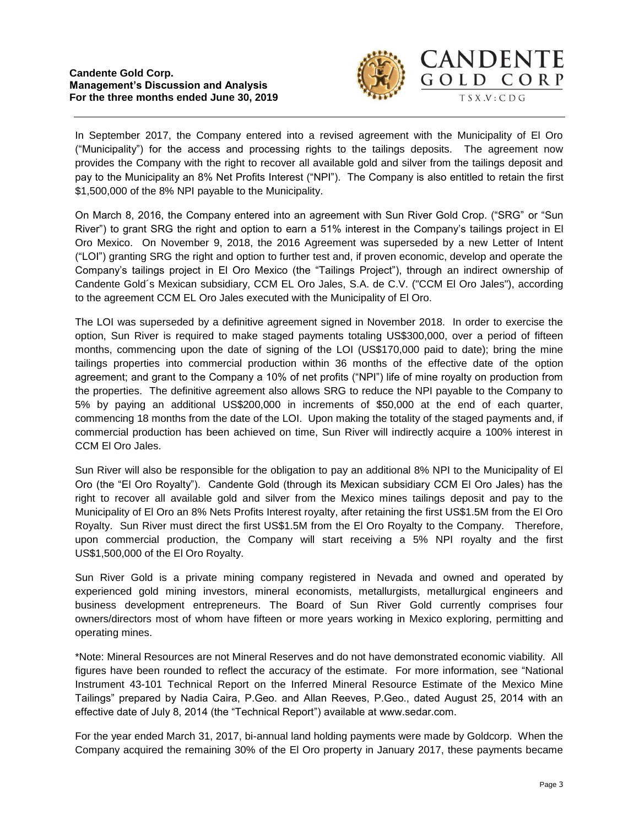

In September 2017, the Company entered into a revised agreement with the Municipality of El Oro ("Municipality") for the access and processing rights to the tailings deposits. The agreement now provides the Company with the right to recover all available gold and silver from the tailings deposit and pay to the Municipality an 8% Net Profits Interest ("NPI"). The Company is also entitled to retain the first \$1,500,000 of the 8% NPI payable to the Municipality.

On March 8, 2016, the Company entered into an agreement with Sun River Gold Crop. ("SRG" or "Sun River") to grant SRG the right and option to earn a 51% interest in the Company's tailings project in El Oro Mexico. On November 9, 2018, the 2016 Agreement was superseded by a new Letter of Intent ("LOI") granting SRG the right and option to further test and, if proven economic, develop and operate the Company's tailings project in El Oro Mexico (the "Tailings Project"), through an indirect ownership of Candente Gold´s Mexican subsidiary, CCM EL Oro Jales, S.A. de C.V. ("CCM El Oro Jales"), according to the agreement CCM EL Oro Jales executed with the Municipality of El Oro.

The LOI was superseded by a definitive agreement signed in November 2018. In order to exercise the option, Sun River is required to make staged payments totaling US\$300,000, over a period of fifteen months, commencing upon the date of signing of the LOI (US\$170,000 paid to date); bring the mine tailings properties into commercial production within 36 months of the effective date of the option agreement; and grant to the Company a 10% of net profits ("NPI") life of mine royalty on production from the properties. The definitive agreement also allows SRG to reduce the NPI payable to the Company to 5% by paying an additional US\$200,000 in increments of \$50,000 at the end of each quarter, commencing 18 months from the date of the LOI. Upon making the totality of the staged payments and, if commercial production has been achieved on time, Sun River will indirectly acquire a 100% interest in CCM El Oro Jales.

Sun River will also be responsible for the obligation to pay an additional 8% NPI to the Municipality of El Oro (the "El Oro Royalty"). Candente Gold (through its Mexican subsidiary CCM El Oro Jales) has the right to recover all available gold and silver from the Mexico mines tailings deposit and pay to the Municipality of El Oro an 8% Nets Profits Interest royalty, after retaining the first US\$1.5M from the El Oro Royalty. Sun River must direct the first US\$1.5M from the El Oro Royalty to the Company. Therefore, upon commercial production, the Company will start receiving a 5% NPI royalty and the first US\$1,500,000 of the El Oro Royalty.

Sun River Gold is a private mining company registered in Nevada and owned and operated by experienced gold mining investors, mineral economists, metallurgists, metallurgical engineers and business development entrepreneurs. The Board of Sun River Gold currently comprises four owners/directors most of whom have fifteen or more years working in Mexico exploring, permitting and operating mines.

\*Note: Mineral Resources are not Mineral Reserves and do not have demonstrated economic viability. All figures have been rounded to reflect the accuracy of the estimate. For more information, see "National Instrument 43-101 Technical Report on the Inferred Mineral Resource Estimate of the Mexico Mine Tailings" prepared by Nadia Caira, P.Geo. and Allan Reeves, P.Geo., dated August 25, 2014 with an effective date of July 8, 2014 (the "Technical Report") available at www.sedar.com.

For the year ended March 31, 2017, bi-annual land holding payments were made by Goldcorp. When the Company acquired the remaining 30% of the El Oro property in January 2017, these payments became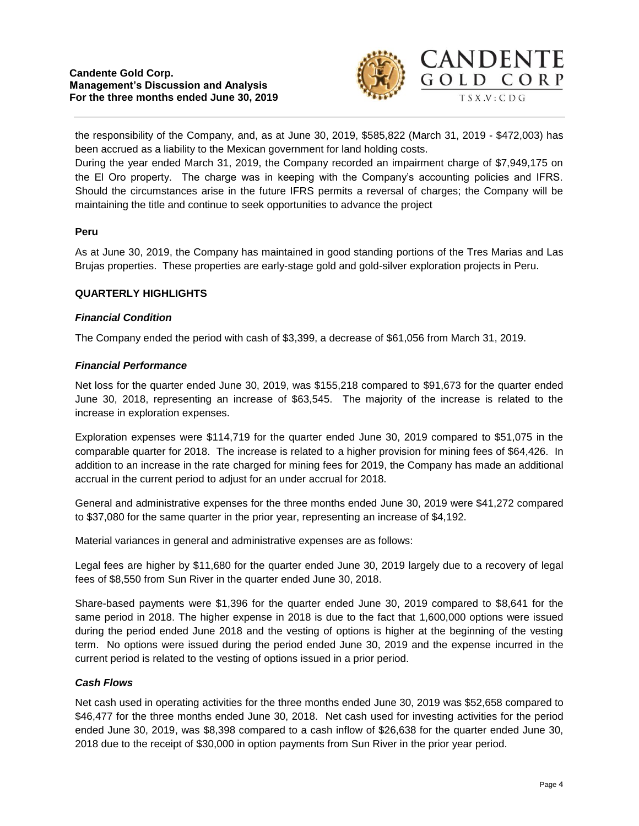

the responsibility of the Company, and, as at June 30, 2019, \$585,822 (March 31, 2019 - \$472,003) has been accrued as a liability to the Mexican government for land holding costs.

During the year ended March 31, 2019, the Company recorded an impairment charge of \$7,949,175 on the El Oro property. The charge was in keeping with the Company's accounting policies and IFRS. Should the circumstances arise in the future IFRS permits a reversal of charges; the Company will be maintaining the title and continue to seek opportunities to advance the project

# **Peru**

As at June 30, 2019, the Company has maintained in good standing portions of the Tres Marias and Las Brujas properties. These properties are early-stage gold and gold-silver exploration projects in Peru.

#### **QUARTERLY HIGHLIGHTS**

#### *Financial Condition*

The Company ended the period with cash of \$3,399, a decrease of \$61,056 from March 31, 2019.

#### *Financial Performance*

Net loss for the quarter ended June 30, 2019, was \$155,218 compared to \$91,673 for the quarter ended June 30, 2018, representing an increase of \$63,545. The majority of the increase is related to the increase in exploration expenses.

Exploration expenses were \$114,719 for the quarter ended June 30, 2019 compared to \$51,075 in the comparable quarter for 2018. The increase is related to a higher provision for mining fees of \$64,426. In addition to an increase in the rate charged for mining fees for 2019, the Company has made an additional accrual in the current period to adjust for an under accrual for 2018.

General and administrative expenses for the three months ended June 30, 2019 were \$41,272 compared to \$37,080 for the same quarter in the prior year, representing an increase of \$4,192.

Material variances in general and administrative expenses are as follows:

Legal fees are higher by \$11,680 for the quarter ended June 30, 2019 largely due to a recovery of legal fees of \$8,550 from Sun River in the quarter ended June 30, 2018.

Share-based payments were \$1,396 for the quarter ended June 30, 2019 compared to \$8,641 for the same period in 2018. The higher expense in 2018 is due to the fact that 1,600,000 options were issued during the period ended June 2018 and the vesting of options is higher at the beginning of the vesting term. No options were issued during the period ended June 30, 2019 and the expense incurred in the current period is related to the vesting of options issued in a prior period.

# *Cash Flows*

Net cash used in operating activities for the three months ended June 30, 2019 was \$52,658 compared to \$46,477 for the three months ended June 30, 2018. Net cash used for investing activities for the period ended June 30, 2019, was \$8,398 compared to a cash inflow of \$26,638 for the quarter ended June 30, 2018 due to the receipt of \$30,000 in option payments from Sun River in the prior year period.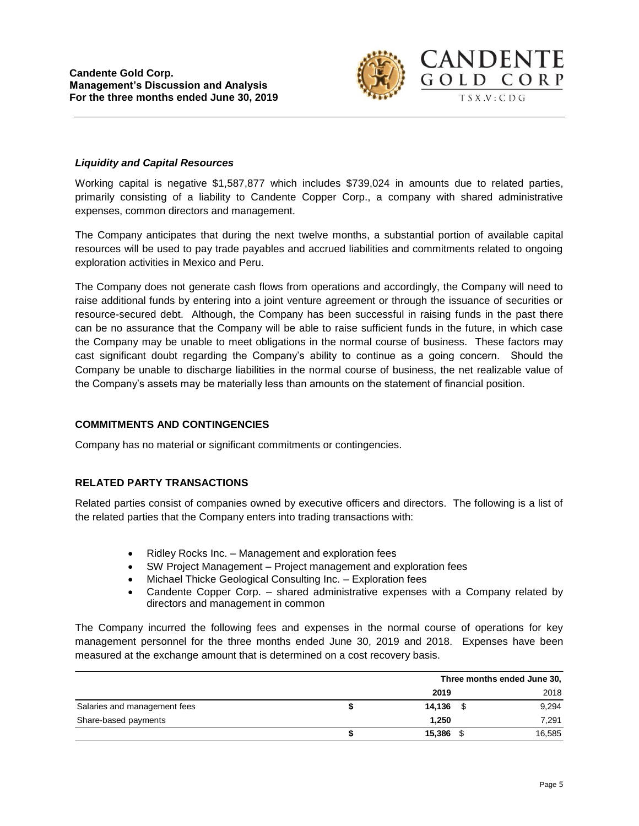

#### *Liquidity and Capital Resources*

Working capital is negative \$1,587,877 which includes \$739,024 in amounts due to related parties, primarily consisting of a liability to Candente Copper Corp., a company with shared administrative expenses, common directors and management.

The Company anticipates that during the next twelve months, a substantial portion of available capital resources will be used to pay trade payables and accrued liabilities and commitments related to ongoing exploration activities in Mexico and Peru.

The Company does not generate cash flows from operations and accordingly, the Company will need to raise additional funds by entering into a joint venture agreement or through the issuance of securities or resource-secured debt. Although, the Company has been successful in raising funds in the past there can be no assurance that the Company will be able to raise sufficient funds in the future, in which case the Company may be unable to meet obligations in the normal course of business. These factors may cast significant doubt regarding the Company's ability to continue as a going concern. Should the Company be unable to discharge liabilities in the normal course of business, the net realizable value of the Company's assets may be materially less than amounts on the statement of financial position.

# **COMMITMENTS AND CONTINGENCIES**

Company has no material or significant commitments or contingencies.

# **RELATED PARTY TRANSACTIONS**

Related parties consist of companies owned by executive officers and directors. The following is a list of the related parties that the Company enters into trading transactions with:

- Ridley Rocks Inc. Management and exploration fees
- SW Project Management Project management and exploration fees
- Michael Thicke Geological Consulting Inc. Exploration fees
- Candente Copper Corp. shared administrative expenses with a Company related by directors and management in common

The Company incurred the following fees and expenses in the normal course of operations for key management personnel for the three months ended June 30, 2019 and 2018. Expenses have been measured at the exchange amount that is determined on a cost recovery basis.

|                              |        | Three months ended June 30, |        |  |
|------------------------------|--------|-----------------------------|--------|--|
|                              | 2019   |                             | 2018   |  |
| Salaries and management fees | 14,136 |                             | 9,294  |  |
| Share-based payments         | 1,250  |                             | 7.291  |  |
|                              | 15,386 |                             | 16,585 |  |